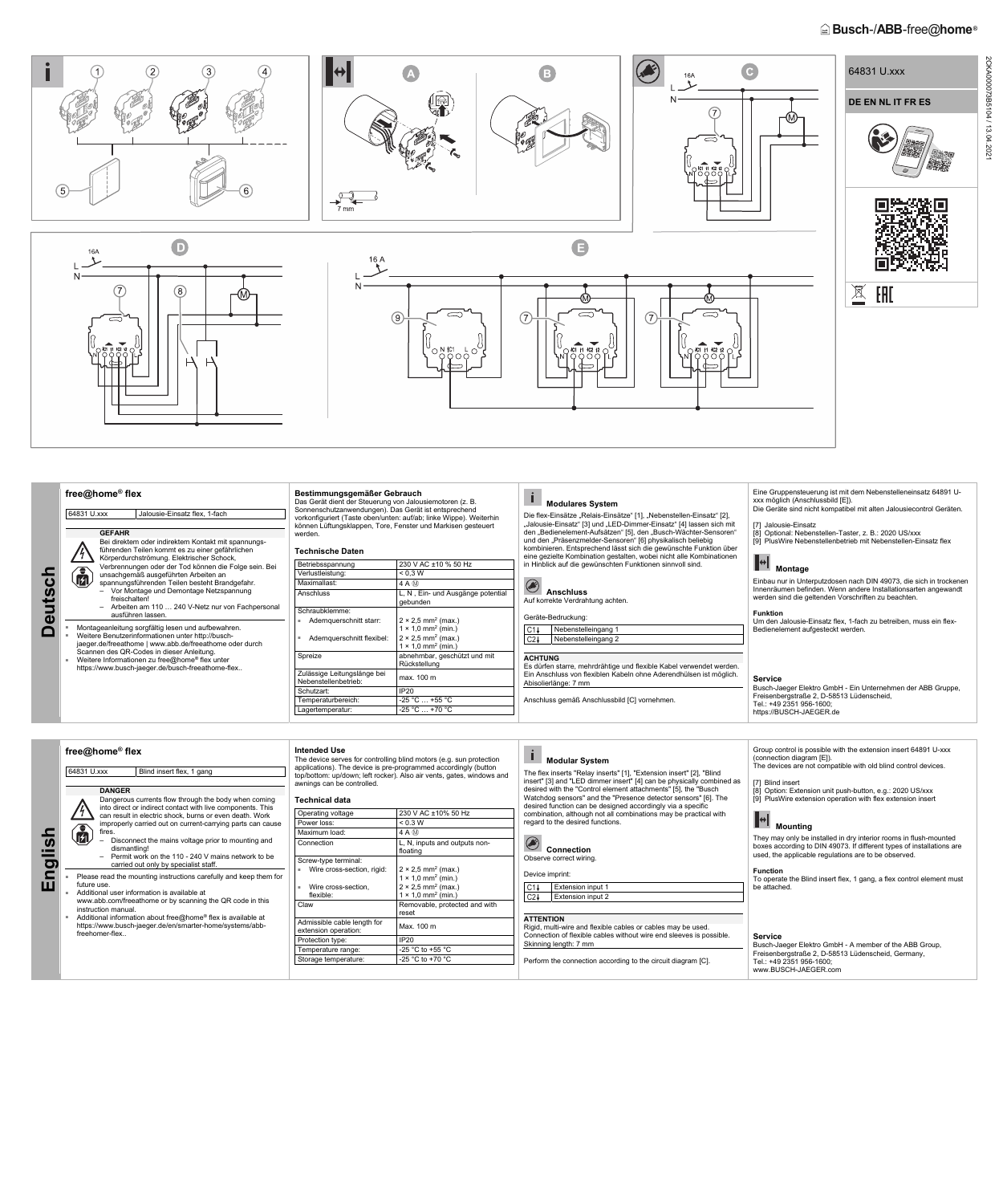# **Busch-/ABB-free@home**<sup>®</sup>



Scannen des QR-Codes in dieser Anleitung. ■ Weitere Informationen zu free@home® flex unter https://www.busch-jaeger.de/busch-freeathome-flex..

64831 U.xxx Blind insert flex, 1 gang

| Betriebsspannung                                    | 230 V AC ±10 % 50 Hz                                                           |  |
|-----------------------------------------------------|--------------------------------------------------------------------------------|--|
| Verlustleistung:                                    | < 0.3 W                                                                        |  |
| Maximallast:                                        | 4 A M                                                                          |  |
| Anschluss                                           | L, N, Ein- und Ausgänge potential<br>qebunden                                  |  |
| Schraubklemme:                                      |                                                                                |  |
| Adernquerschnitt starr:                             | $2 \times 2.5$ mm <sup>2</sup> (max.)<br>$1 \times 1.0$ mm <sup>2</sup> (min.) |  |
| Adernguerschnitt flexibel:<br>a.                    | $2 \times 2.5$ mm <sup>2</sup> (max.)<br>$1 \times 1.0$ mm <sup>2</sup> (min.) |  |
| Spreize                                             | abnehmbar, geschützt und mit<br>Rückstellung                                   |  |
| Zulässige Leitungslänge bei<br>Nebenstellenbetrieb: | max. 100 m                                                                     |  |
| Schutzart:                                          | <b>IP20</b>                                                                    |  |
| Temperaturbereich:                                  | $-25$ °C  +55 °C                                                               |  |
|                                                     | $-25 °C  +70 °C$                                                               |  |
| Lagertemperatur:                                    |                                                                                |  |



- ruction manuai.
- Additional information about free@home® flex is available at https://www.busch-jaeger.de/en/smarter-home/systems/abbfreehomer-flex..

|                            | Nebenstelleingang 1 |  |  |  |  |  |
|----------------------------|---------------------|--|--|--|--|--|
| C2ł<br>Nebenstelleingang 2 |                     |  |  |  |  |  |
|                            |                     |  |  |  |  |  |
| <b>ACHTUNG</b>             |                     |  |  |  |  |  |

Es dürfen starre, mehrdrähtige und flexible Kabel verwendet werden. Ein Anschluss von flexiblen Kabeln ohne Aderendhülsen ist möglich. Abisolierlänge: 7 mm

 $\mathbf{I}$  **Modular System** 

Anschluss gemäß Anschlussbild [C] vornehmen.

| <b>Connection</b>       |
|-------------------------|
| Observe correct wiring. |

Device imprint: C1 | Extension input 1 Extension input 2  $C2+$ 

**Service** 

Busch-Jaeger Elektro GmbH - Ein Unternehmen der ABB Gruppe,

Freisenbergstraße 2, D-58513 Lüdenscheid,

Tel.: +49 2351 956-1600; https://BUSCH-JAEGER.de

**English** 

**free@home® flex** 

**DANGER** 

Dangerous currents flow through the body when coming into direct or indirect contact with live components. This can result in electric shock, burns or even death. Work improperly carried out on current-carrying parts can cause

fires.

 $\frac{\sqrt{4}}{4}$ 偏

– Disconnect the mains voltage prior to mounting and

Permit work on the 110 - 240 V mains network to be<br>carried out only by specialist staff

dismantling!

| carried out only by specialist staff.                             |
|-------------------------------------------------------------------|
| Please read the mounting instructions carefully and keep them for |
| future use.                                                       |
| Additional user information is available at                       |

www.abb.com/freeathome or by scanning the QR code in this

| awnings can be controlled. |                    |
|----------------------------|--------------------|
| <b>Technical data</b>      |                    |
| <b>Operating voltage</b>   | 230 V AC ±10% 50 H |

**Intended Use** 

Scr

The device serves for controlling blind motors (e.g. sun protection applications). The device is pre-programmed accordingly (button top/bottom: up/down; left rocker). Also air vents, gates, windows and

| Operating voltage                | 230 V AC ±10% 50 Hz                                                            |  |
|----------------------------------|--------------------------------------------------------------------------------|--|
| Power loss:                      | < 0.3 W                                                                        |  |
| Maximum load:                    | 4 A M                                                                          |  |
| Connection                       | L, N, inputs and outputs non-<br>floating                                      |  |
| Screw-type terminal:             |                                                                                |  |
| Wire cross-section, rigid:<br>×. | $2 \times 2.5$ mm <sup>2</sup> (max.)<br>$1 \times 1.0$ mm <sup>2</sup> (min.) |  |
| Wire cross-section,<br>Ė.        | $2 \times 2.5$ mm <sup>2</sup> (max.)                                          |  |
| flexible:                        | $1 \times 1.0$ mm <sup>2</sup> (min.)                                          |  |
| Claw                             | Removable, protected and with                                                  |  |

The flex inserts "Relay inserts" [1], "Extension insert" [2], "Blind insert" [3] and "LED dimmer insert" [4] can be physically combined as desired with the "Control element attachments" [5], the "Busch Watchdog sensors" and the "Presence detector sensors" [6]. The desired function can be designed accordingly via a specific combination, although not all combinations may be practical with regard to the desired functions.

|  |                                                     | reset            |                                                                                                                                                                                  |                                                                                                                                |
|--|-----------------------------------------------------|------------------|----------------------------------------------------------------------------------------------------------------------------------------------------------------------------------|--------------------------------------------------------------------------------------------------------------------------------|
|  | Admissible cable length for<br>extension operation: | Max. 100 m       | <b>ATTENTION</b><br>Rigid, multi-wire and flexible cables or cables may be used.<br>Connection of flexible cables without wire end sleeves is possible.<br>Skinning length: 7 mm | <b>Service</b><br>Busch-Jaeger Elektro GmbH - A member of the ABB Group,<br>Freisenbergstraße 2, D-58513 Lüdenscheid, Germany, |
|  | Protection type:                                    | IP20             |                                                                                                                                                                                  |                                                                                                                                |
|  | Temperature range:                                  | -25 °C to +55 °C |                                                                                                                                                                                  |                                                                                                                                |
|  | Storage temperature:                                | -25 °C to +70 °C | Perform the connection according to the circuit diagram [C].                                                                                                                     | Tel.: +49 2351 956-1600;<br>www.BUSCH-JAEGER.com                                                                               |
|  |                                                     |                  |                                                                                                                                                                                  |                                                                                                                                |

## Group control is possible with the extension insert 64891 U-xxx (connection diagram [E]).

The devices are not compatible with old blind control devices.

### [7] Blind insert

[8] Option: Extension unit push-button, e.g.: 2020 US/xxx [9] PlusWire extension operation with flex extension insert

# **A**<br>Mounting

They may only be installed in dry interior rooms in flush-mounted boxes according to DIN 49073. If different types of installations are used, the applicable regulations are to be observed.

**Function**  To operate the Blind insert flex, 1 gang, a flex control element must be attached.